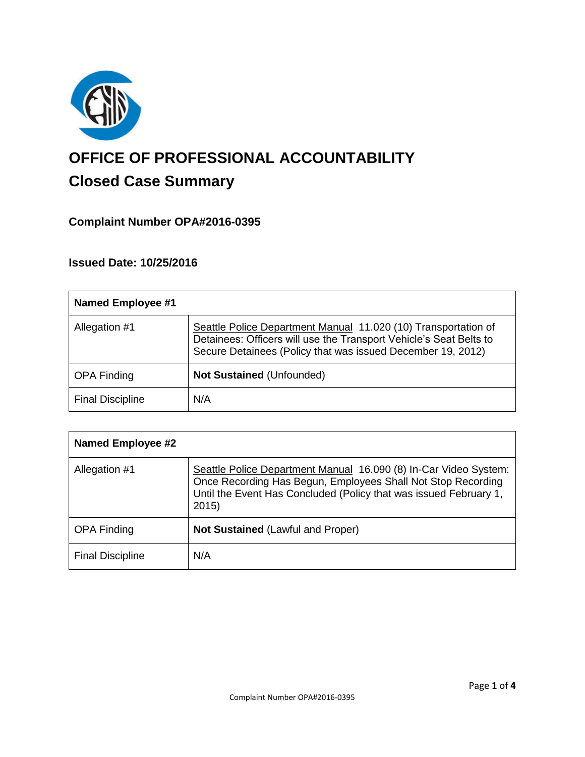

# **OFFICE OF PROFESSIONAL ACCOUNTABILITY Closed Case Summary**

## **Complaint Number OPA#2016-0395**

## **Issued Date: 10/25/2016**

| <b>Named Employee #1</b> |                                                                                                                                                                                                     |
|--------------------------|-----------------------------------------------------------------------------------------------------------------------------------------------------------------------------------------------------|
| Allegation #1            | Seattle Police Department Manual 11.020 (10) Transportation of<br>Detainees: Officers will use the Transport Vehicle's Seat Belts to<br>Secure Detainees (Policy that was issued December 19, 2012) |
| <b>OPA Finding</b>       | <b>Not Sustained (Unfounded)</b>                                                                                                                                                                    |
| <b>Final Discipline</b>  | N/A                                                                                                                                                                                                 |

| <b>Named Employee #2</b> |                                                                                                                                                                                                               |
|--------------------------|---------------------------------------------------------------------------------------------------------------------------------------------------------------------------------------------------------------|
| Allegation #1            | Seattle Police Department Manual 16.090 (8) In-Car Video System:<br>Once Recording Has Begun, Employees Shall Not Stop Recording<br>Until the Event Has Concluded (Policy that was issued February 1,<br>2015 |
| <b>OPA Finding</b>       | <b>Not Sustained (Lawful and Proper)</b>                                                                                                                                                                      |
| <b>Final Discipline</b>  | N/A                                                                                                                                                                                                           |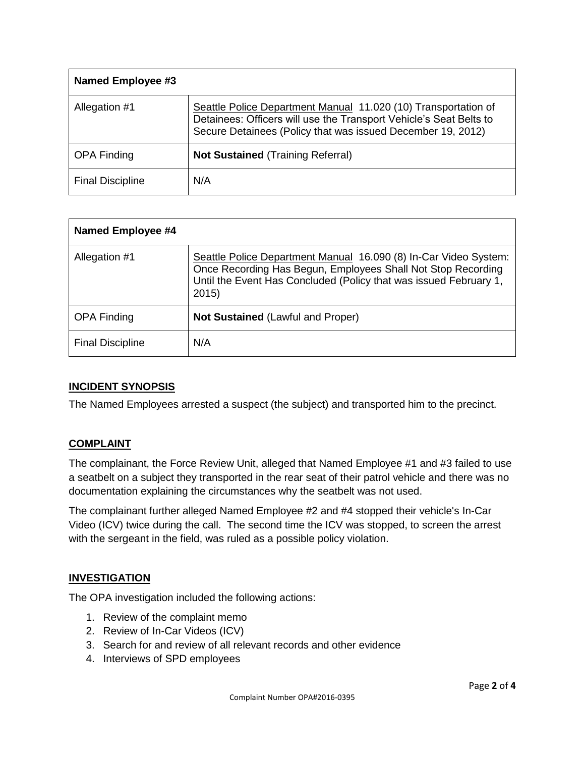| <b>Named Employee #3</b> |                                                                                                                                                                                                     |
|--------------------------|-----------------------------------------------------------------------------------------------------------------------------------------------------------------------------------------------------|
| Allegation #1            | Seattle Police Department Manual 11.020 (10) Transportation of<br>Detainees: Officers will use the Transport Vehicle's Seat Belts to<br>Secure Detainees (Policy that was issued December 19, 2012) |
| <b>OPA Finding</b>       | <b>Not Sustained (Training Referral)</b>                                                                                                                                                            |
| <b>Final Discipline</b>  | N/A                                                                                                                                                                                                 |

| <b>Named Employee #4</b> |                                                                                                                                                                                                               |
|--------------------------|---------------------------------------------------------------------------------------------------------------------------------------------------------------------------------------------------------------|
| Allegation #1            | Seattle Police Department Manual 16.090 (8) In-Car Video System:<br>Once Recording Has Begun, Employees Shall Not Stop Recording<br>Until the Event Has Concluded (Policy that was issued February 1,<br>2015 |
| <b>OPA Finding</b>       | Not Sustained (Lawful and Proper)                                                                                                                                                                             |
| <b>Final Discipline</b>  | N/A                                                                                                                                                                                                           |

## **INCIDENT SYNOPSIS**

The Named Employees arrested a suspect (the subject) and transported him to the precinct.

#### **COMPLAINT**

The complainant, the Force Review Unit, alleged that Named Employee #1 and #3 failed to use a seatbelt on a subject they transported in the rear seat of their patrol vehicle and there was no documentation explaining the circumstances why the seatbelt was not used.

The complainant further alleged Named Employee #2 and #4 stopped their vehicle's In-Car Video (ICV) twice during the call. The second time the ICV was stopped, to screen the arrest with the sergeant in the field, was ruled as a possible policy violation.

#### **INVESTIGATION**

The OPA investigation included the following actions:

- 1. Review of the complaint memo
- 2. Review of In-Car Videos (ICV)
- 3. Search for and review of all relevant records and other evidence
- 4. Interviews of SPD employees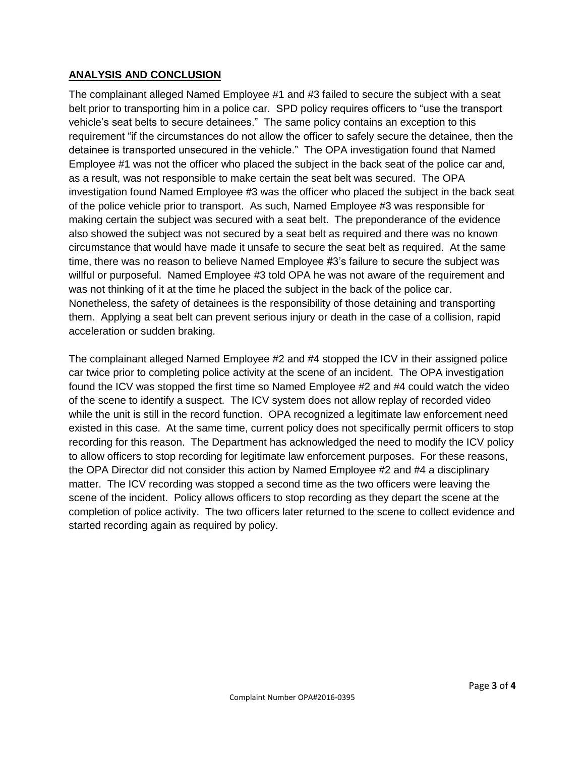## **ANALYSIS AND CONCLUSION**

The complainant alleged Named Employee #1 and #3 failed to secure the subject with a seat belt prior to transporting him in a police car. SPD policy requires officers to "use the transport vehicle's seat belts to secure detainees." The same policy contains an exception to this requirement "if the circumstances do not allow the officer to safely secure the detainee, then the detainee is transported unsecured in the vehicle." The OPA investigation found that Named Employee #1 was not the officer who placed the subject in the back seat of the police car and, as a result, was not responsible to make certain the seat belt was secured. The OPA investigation found Named Employee #3 was the officer who placed the subject in the back seat of the police vehicle prior to transport. As such, Named Employee #3 was responsible for making certain the subject was secured with a seat belt. The preponderance of the evidence also showed the subject was not secured by a seat belt as required and there was no known circumstance that would have made it unsafe to secure the seat belt as required. At the same time, there was no reason to believe Named Employee #3's failure to secure the subject was willful or purposeful. Named Employee #3 told OPA he was not aware of the requirement and was not thinking of it at the time he placed the subject in the back of the police car. Nonetheless, the safety of detainees is the responsibility of those detaining and transporting them. Applying a seat belt can prevent serious injury or death in the case of a collision, rapid acceleration or sudden braking.

The complainant alleged Named Employee #2 and #4 stopped the ICV in their assigned police car twice prior to completing police activity at the scene of an incident. The OPA investigation found the ICV was stopped the first time so Named Employee #2 and #4 could watch the video of the scene to identify a suspect. The ICV system does not allow replay of recorded video while the unit is still in the record function. OPA recognized a legitimate law enforcement need existed in this case. At the same time, current policy does not specifically permit officers to stop recording for this reason. The Department has acknowledged the need to modify the ICV policy to allow officers to stop recording for legitimate law enforcement purposes. For these reasons, the OPA Director did not consider this action by Named Employee #2 and #4 a disciplinary matter. The ICV recording was stopped a second time as the two officers were leaving the scene of the incident. Policy allows officers to stop recording as they depart the scene at the completion of police activity. The two officers later returned to the scene to collect evidence and started recording again as required by policy.